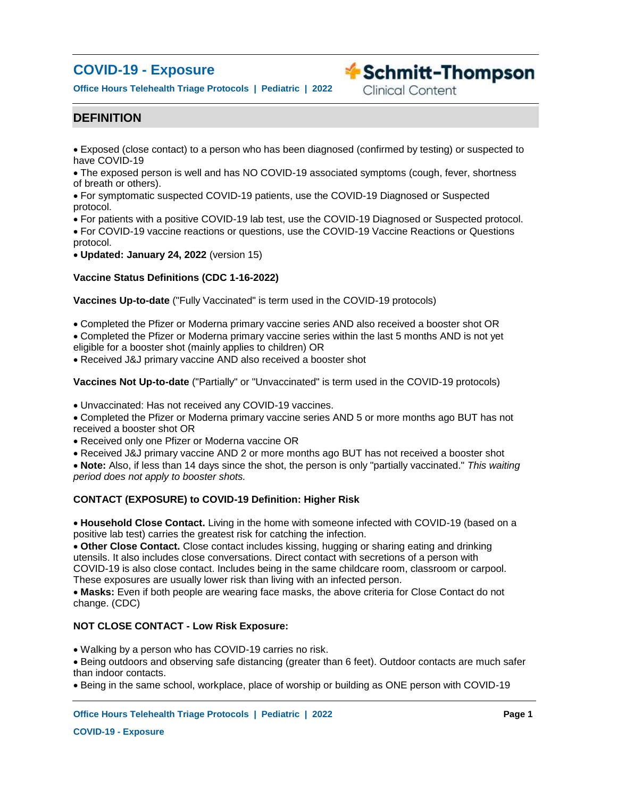# **COVID-19 - Exposure**

**Office Hours Telehealth Triage Protocols | Pediatric | 2022**

# **Exercise Schmitt-Thompson**

**Clinical Content** 

# **DEFINITION**

Exposed (close contact) to a person who has been diagnosed (confirmed by testing) or suspected to have COVID-19

The exposed person is well and has NO COVID-19 associated symptoms (cough, fever, shortness of breath or others).

For symptomatic suspected COVID-19 patients, use the COVID-19 Diagnosed or Suspected protocol.

For patients with a positive COVID-19 lab test, use the COVID-19 Diagnosed or Suspected protocol.

For COVID-19 vaccine reactions or questions, use the COVID-19 Vaccine Reactions or Questions protocol.

**Updated: January 24, 2022** (version 15)

### **Vaccine Status Definitions (CDC 1-16-2022)**

**Vaccines Up-to-date** ("Fully Vaccinated" is term used in the COVID-19 protocols)

Completed the Pfizer or Moderna primary vaccine series AND also received a booster shot OR

Completed the Pfizer or Moderna primary vaccine series within the last 5 months AND is not yet eligible for a booster shot (mainly applies to children) OR

Received J&J primary vaccine AND also received a booster shot

**Vaccines Not Up-to-date** ("Partially" or "Unvaccinated" is term used in the COVID-19 protocols)

Unvaccinated: Has not received any COVID-19 vaccines.

Completed the Pfizer or Moderna primary vaccine series AND 5 or more months ago BUT has not received a booster shot OR

Received only one Pfizer or Moderna vaccine OR

Received J&J primary vaccine AND 2 or more months ago BUT has not received a booster shot

**Note:** Also, if less than 14 days since the shot, the person is only "partially vaccinated." *This waiting period does not apply to booster shots.*

### **CONTACT (EXPOSURE) to COVID-19 Definition: Higher Risk**

**Household Close Contact.** Living in the home with someone infected with COVID-19 (based on a positive lab test) carries the greatest risk for catching the infection.

**Other Close Contact.** Close contact includes kissing, hugging or sharing eating and drinking utensils. It also includes close conversations. Direct contact with secretions of a person with COVID-19 is also close contact. Includes being in the same childcare room, classroom or carpool. These exposures are usually lower risk than living with an infected person.

**Masks:** Even if both people are wearing face masks, the above criteria for Close Contact do not change. (CDC)

### **NOT CLOSE CONTACT - Low Risk Exposure:**

Walking by a person who has COVID-19 carries no risk.

Being outdoors and observing safe distancing (greater than 6 feet). Outdoor contacts are much safer than indoor contacts.

Being in the same school, workplace, place of worship or building as ONE person with COVID-19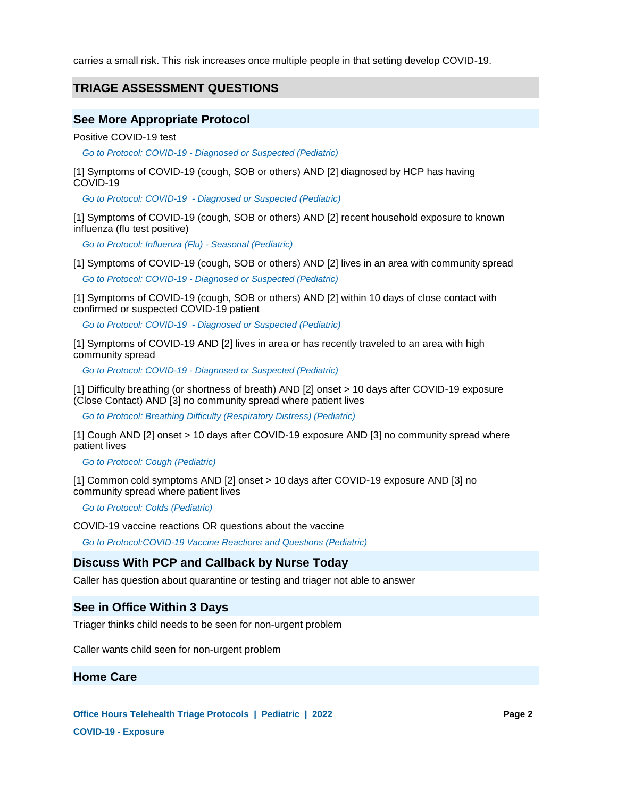carries a small risk. This risk increases once multiple people in that setting develop COVID-19.

# **TRIAGE ASSESSMENT QUESTIONS**

# **See More Appropriate Protocol**

Positive COVID-19 test

*Go to Protocol: COVID-19 - Diagnosed or Suspected (Pediatric)*

[1] Symptoms of COVID-19 (cough, SOB or others) AND [2] diagnosed by HCP has having COVID-19

*Go to Protocol: COVID-19 - Diagnosed or Suspected (Pediatric)*

[1] Symptoms of COVID-19 (cough, SOB or others) AND [2] recent household exposure to known influenza (flu test positive)

*Go to Protocol: Influenza (Flu) - Seasonal (Pediatric)*

[1] Symptoms of COVID-19 (cough, SOB or others) AND [2] lives in an area with community spread

*Go to Protocol: COVID-19 - Diagnosed or Suspected (Pediatric)*

[1] Symptoms of COVID-19 (cough, SOB or others) AND [2] within 10 days of close contact with confirmed or suspected COVID-19 patient

*Go to Protocol: COVID-19 - Diagnosed or Suspected (Pediatric)*

[1] Symptoms of COVID-19 AND [2] lives in area or has recently traveled to an area with high community spread

*Go to Protocol: COVID-19 - Diagnosed or Suspected (Pediatric)*

[1] Difficulty breathing (or shortness of breath) AND [2] onset > 10 days after COVID-19 exposure (Close Contact) AND [3] no community spread where patient lives

*Go to Protocol: Breathing Difficulty (Respiratory Distress) (Pediatric)*

[1] Cough AND [2] onset > 10 days after COVID-19 exposure AND [3] no community spread where patient lives

*Go to Protocol: Cough (Pediatric)*

[1] Common cold symptoms AND [2] onset > 10 days after COVID-19 exposure AND [3] no community spread where patient lives

*Go to Protocol: Colds (Pediatric)*

COVID-19 vaccine reactions OR questions about the vaccine

*Go to Protocol:COVID-19 Vaccine Reactions and Questions (Pediatric)*

### **Discuss With PCP and Callback by Nurse Today**

Caller has question about quarantine or testing and triager not able to answer

### **See in Office Within 3 Days**

Triager thinks child needs to be seen for non-urgent problem

Caller wants child seen for non-urgent problem

### **Home Care**

**Office Hours Telehealth Triage Protocols | Pediatric | 2022 Page 2**

**COVID-19 - Exposure**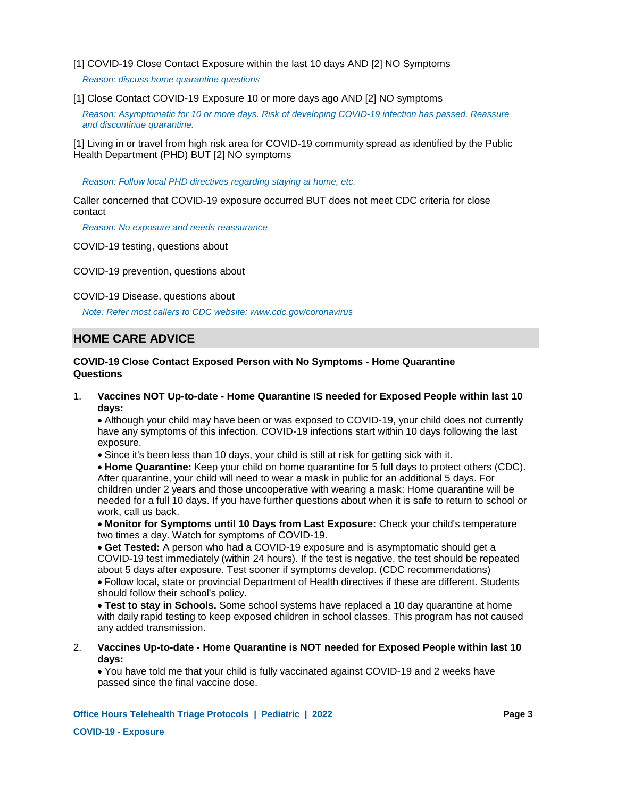[1] COVID-19 Close Contact Exposure within the last 10 days AND [2] NO Symptoms

 *Reason: discuss home quarantine questions*

[1] Close Contact COVID-19 Exposure 10 or more days ago AND [2] NO symptoms

*Reason: Asymptomatic for 10 or more days. Risk of developing COVID-19 infection has passed. Reassure and discontinue quarantine.*

[1] Living in or travel from high risk area for COVID-19 community spread as identified by the Public Health Department (PHD) BUT [2] NO symptoms

*Reason: Follow local PHD directives regarding staying at home, etc.*

Caller concerned that COVID-19 exposure occurred BUT does not meet CDC criteria for close contact

*Reason: No exposure and needs reassurance*

COVID-19 testing, questions about

COVID-19 prevention, questions about

COVID-19 Disease, questions about

*Note: Refer most callers to CDC website: www.cdc.gov/coronavirus*

# **HOME CARE ADVICE**

### **COVID-19 Close Contact Exposed Person with No Symptoms - Home Quarantine Questions**

**Vaccines NOT Up-to-date - Home Quarantine IS needed for Exposed People within last 10 days:** 1.

Although your child may have been or was exposed to COVID-19, your child does not currently have any symptoms of this infection. COVID-19 infections start within 10 days following the last exposure.

Since it's been less than 10 days, your child is still at risk for getting sick with it.

**Home Quarantine:** Keep your child on home quarantine for 5 full days to protect others (CDC). After quarantine, your child will need to wear a mask in public for an additional 5 days. For children under 2 years and those uncooperative with wearing a mask: Home quarantine will be needed for a full 10 days. If you have further questions about when it is safe to return to school or work, call us back.

**Monitor for Symptoms until 10 Days from Last Exposure:** Check your child's temperature two times a day. Watch for symptoms of COVID-19.

**Get Tested:** A person who had a COVID-19 exposure and is asymptomatic should get a COVID-19 test immediately (within 24 hours). If the test is negative, the test should be repeated about 5 days after exposure. Test sooner if symptoms develop. (CDC recommendations)

Follow local, state or provincial Department of Health directives if these are different. Students should follow their school's policy.

**Test to stay in Schools.** Some school systems have replaced a 10 day quarantine at home with daily rapid testing to keep exposed children in school classes. This program has not caused any added transmission.

**Vaccines Up-to-date - Home Quarantine is NOT needed for Exposed People within last 10 days:** 2.

You have told me that your child is fully vaccinated against COVID-19 and 2 weeks have passed since the final vaccine dose.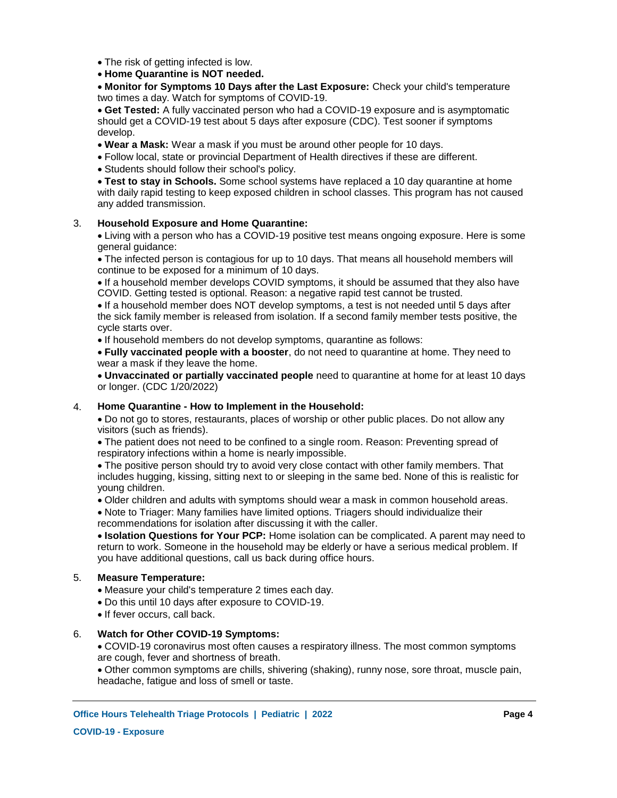• The risk of getting infected is low.

**Home Quarantine is NOT needed.**

**Monitor for Symptoms 10 Days after the Last Exposure:** Check your child's temperature two times a day. Watch for symptoms of COVID-19.

**Get Tested:** A fully vaccinated person who had a COVID-19 exposure and is asymptomatic should get a COVID-19 test about 5 days after exposure (CDC). Test sooner if symptoms develop.

**Wear a Mask:** Wear a mask if you must be around other people for 10 days.

Follow local, state or provincial Department of Health directives if these are different.

Students should follow their school's policy.

**Test to stay in Schools.** Some school systems have replaced a 10 day quarantine at home with daily rapid testing to keep exposed children in school classes. This program has not caused any added transmission.

#### **Household Exposure and Home Quarantine:** 3.

Living with a person who has a COVID-19 positive test means ongoing exposure. Here is some general guidance:

The infected person is contagious for up to 10 days. That means all household members will continue to be exposed for a minimum of 10 days.

If a household member develops COVID symptoms, it should be assumed that they also have COVID. Getting tested is optional. Reason: a negative rapid test cannot be trusted.

If a household member does NOT develop symptoms, a test is not needed until 5 days after the sick family member is released from isolation. If a second family member tests positive, the cycle starts over.

• If household members do not develop symptoms, quarantine as follows:

**Fully vaccinated people with a booster**, do not need to quarantine at home. They need to wear a mask if they leave the home.

**Unvaccinated or partially vaccinated people** need to quarantine at home for at least 10 days or longer. (CDC 1/20/2022)

#### **Home Quarantine - How to Implement in the Household:** 4.

Do not go to stores, restaurants, places of worship or other public places. Do not allow any visitors (such as friends).

The patient does not need to be confined to a single room. Reason: Preventing spread of respiratory infections within a home is nearly impossible.

The positive person should try to avoid very close contact with other family members. That includes hugging, kissing, sitting next to or sleeping in the same bed. None of this is realistic for young children.

Older children and adults with symptoms should wear a mask in common household areas.

Note to Triager: Many families have limited options. Triagers should individualize their recommendations for isolation after discussing it with the caller.

**Isolation Questions for Your PCP:** Home isolation can be complicated. A parent may need to return to work. Someone in the household may be elderly or have a serious medical problem. If you have additional questions, call us back during office hours.

#### **Measure Temperature:** 5.

Measure your child's temperature 2 times each day.

Do this until 10 days after exposure to COVID-19.

• If fever occurs, call back.

#### **Watch for Other COVID-19 Symptoms:** 6.

COVID-19 coronavirus most often causes a respiratory illness. The most common symptoms are cough, fever and shortness of breath.

Other common symptoms are chills, shivering (shaking), runny nose, sore throat, muscle pain, headache, fatigue and loss of smell or taste.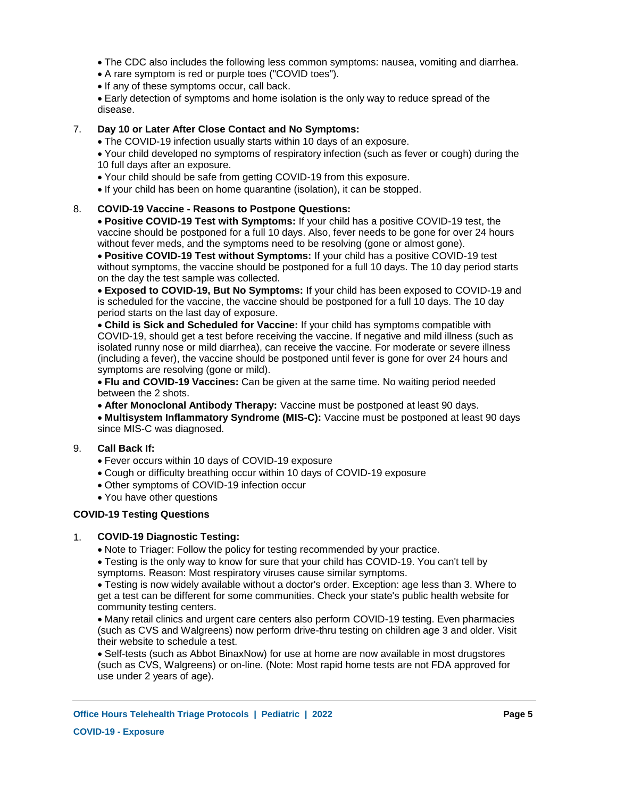The CDC also includes the following less common symptoms: nausea, vomiting and diarrhea.

- A rare symptom is red or purple toes ("COVID toes").
- If any of these symptoms occur, call back.

Early detection of symptoms and home isolation is the only way to reduce spread of the disease.

#### **Day 10 or Later After Close Contact and No Symptoms:** 7.

The COVID-19 infection usually starts within 10 days of an exposure.

Your child developed no symptoms of respiratory infection (such as fever or cough) during the 10 full days after an exposure.

- Your child should be safe from getting COVID-19 from this exposure.
- If your child has been on home quarantine (isolation), it can be stopped.

#### **COVID-19 Vaccine - Reasons to Postpone Questions:** 8.

**Positive COVID-19 Test with Symptoms:** If your child has a positive COVID-19 test, the vaccine should be postponed for a full 10 days. Also, fever needs to be gone for over 24 hours without fever meds, and the symptoms need to be resolving (gone or almost gone).

**Positive COVID-19 Test without Symptoms:** If your child has a positive COVID-19 test without symptoms, the vaccine should be postponed for a full 10 days. The 10 day period starts on the day the test sample was collected.

**Exposed to COVID-19, But No Symptoms:** If your child has been exposed to COVID-19 and is scheduled for the vaccine, the vaccine should be postponed for a full 10 days. The 10 day period starts on the last day of exposure.

**Child is Sick and Scheduled for Vaccine:** If your child has symptoms compatible with COVID-19, should get a test before receiving the vaccine. If negative and mild illness (such as isolated runny nose or mild diarrhea), can receive the vaccine. For moderate or severe illness (including a fever), the vaccine should be postponed until fever is gone for over 24 hours and symptoms are resolving (gone or mild).

**Flu and COVID-19 Vaccines:** Can be given at the same time. No waiting period needed between the 2 shots.

**After Monoclonal Antibody Therapy:** Vaccine must be postponed at least 90 days.

**Multisystem Inflammatory Syndrome (MIS-C):** Vaccine must be postponed at least 90 days since MIS-C was diagnosed.

#### **Call Back If:** 9.

- Fever occurs within 10 days of COVID-19 exposure
- Cough or difficulty breathing occur within 10 days of COVID-19 exposure
- Other symptoms of COVID-19 infection occur
- You have other questions

# **COVID-19 Testing Questions**

#### **COVID-19 Diagnostic Testing:** 1.

• Note to Triager: Follow the policy for testing recommended by your practice.

Testing is the only way to know for sure that your child has COVID-19. You can't tell by symptoms. Reason: Most respiratory viruses cause similar symptoms.

Testing is now widely available without a doctor's order. Exception: age less than 3. Where to get a test can be different for some communities. Check your state's public health website for community testing centers.

Many retail clinics and urgent care centers also perform COVID-19 testing. Even pharmacies (such as CVS and Walgreens) now perform drive-thru testing on children age 3 and older. Visit their website to schedule a test.

Self-tests (such as Abbot BinaxNow) for use at home are now available in most drugstores (such as CVS, Walgreens) or on-line. (Note: Most rapid home tests are not FDA approved for use under 2 years of age).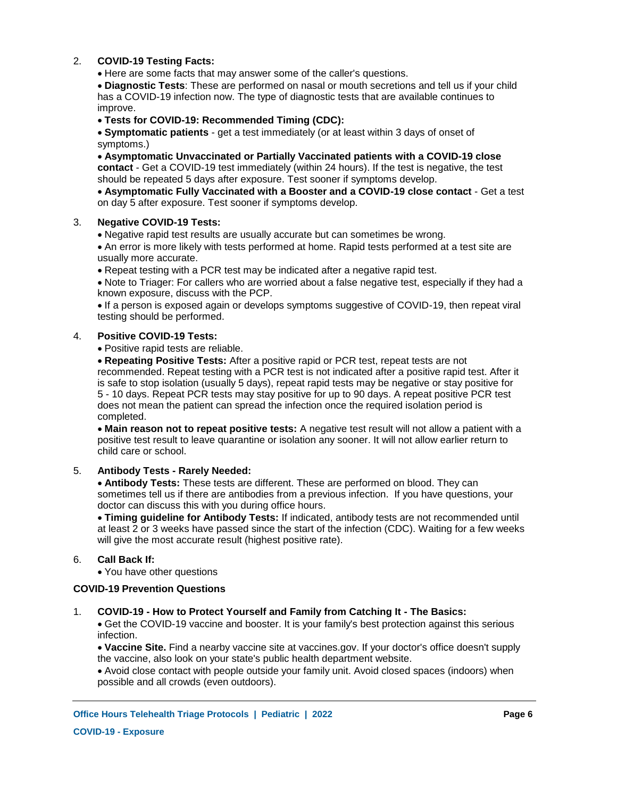#### **COVID-19 Testing Facts:** 2.

Here are some facts that may answer some of the caller's questions.

**Diagnostic Tests**: These are performed on nasal or mouth secretions and tell us if your child has a COVID-19 infection now. The type of diagnostic tests that are available continues to improve.

### **Tests for COVID-19: Recommended Timing (CDC):**

**Symptomatic patients** - get a test immediately (or at least within 3 days of onset of symptoms.)

**Asymptomatic Unvaccinated or Partially Vaccinated patients with a COVID-19 close contact** - Get a COVID-19 test immediately (within 24 hours). If the test is negative, the test should be repeated 5 days after exposure. Test sooner if symptoms develop.

**Asymptomatic Fully Vaccinated with a Booster and a COVID-19 close contact** - Get a test on day 5 after exposure. Test sooner if symptoms develop.

#### **Negative COVID-19 Tests:** 3.

Negative rapid test results are usually accurate but can sometimes be wrong.

An error is more likely with tests performed at home. Rapid tests performed at a test site are usually more accurate.

Repeat testing with a PCR test may be indicated after a negative rapid test.

Note to Triager: For callers who are worried about a false negative test, especially if they had a known exposure, discuss with the PCP.

If a person is exposed again or develops symptoms suggestive of COVID-19, then repeat viral testing should be performed.

#### **Positive COVID-19 Tests:** 4.

Positive rapid tests are reliable.

**Repeating Positive Tests:** After a positive rapid or PCR test, repeat tests are not recommended. Repeat testing with a PCR test is not indicated after a positive rapid test. After it is safe to stop isolation (usually 5 days), repeat rapid tests may be negative or stay positive for 5 - 10 days. Repeat PCR tests may stay positive for up to 90 days. A repeat positive PCR test does not mean the patient can spread the infection once the required isolation period is completed.

**Main reason not to repeat positive tests:** A negative test result will not allow a patient with a positive test result to leave quarantine or isolation any sooner. It will not allow earlier return to child care or school.

#### **Antibody Tests - Rarely Needed:** 5.

**Antibody Tests:** These tests are different. These are performed on blood. They can sometimes tell us if there are antibodies from a previous infection. If you have questions, your doctor can discuss this with you during office hours.

**Timing guideline for Antibody Tests:** If indicated, antibody tests are not recommended until at least 2 or 3 weeks have passed since the start of the infection (CDC). Waiting for a few weeks will give the most accurate result (highest positive rate).

#### **Call Back If:** 6.

You have other questions

### **COVID-19 Prevention Questions**

#### **COVID-19 - How to Protect Yourself and Family from Catching It - The Basics:** 1.

Get the COVID-19 vaccine and booster. It is your family's best protection against this serious infection.

**Vaccine Site.** Find a nearby vaccine site at vaccines.gov. If your doctor's office doesn't supply the vaccine, also look on your state's public health department website.

Avoid close contact with people outside your family unit. Avoid closed spaces (indoors) when possible and all crowds (even outdoors).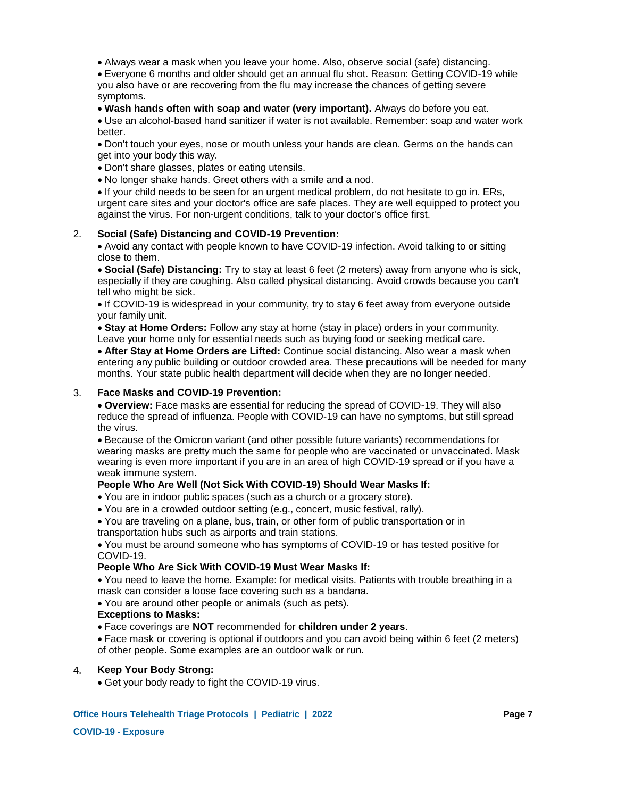Always wear a mask when you leave your home. Also, observe social (safe) distancing.

Everyone 6 months and older should get an annual flu shot. Reason: Getting COVID-19 while you also have or are recovering from the flu may increase the chances of getting severe symptoms.

### **Wash hands often with soap and water (very important).** Always do before you eat.

Use an alcohol-based hand sanitizer if water is not available. Remember: soap and water work better.

Don't touch your eyes, nose or mouth unless your hands are clean. Germs on the hands can get into your body this way.

Don't share glasses, plates or eating utensils.

No longer shake hands. Greet others with a smile and a nod.

If your child needs to be seen for an urgent medical problem, do not hesitate to go in. ERs, urgent care sites and your doctor's office are safe places. They are well equipped to protect you against the virus. For non-urgent conditions, talk to your doctor's office first.

### **Social (Safe) Distancing and COVID-19 Prevention:** 2.

Avoid any contact with people known to have COVID-19 infection. Avoid talking to or sitting close to them.

**Social (Safe) Distancing:** Try to stay at least 6 feet (2 meters) away from anyone who is sick, especially if they are coughing. Also called physical distancing. Avoid crowds because you can't tell who might be sick.

If COVID-19 is widespread in your community, try to stay 6 feet away from everyone outside your family unit.

**Stay at Home Orders:** Follow any stay at home (stay in place) orders in your community. Leave your home only for essential needs such as buying food or seeking medical care.

**After Stay at Home Orders are Lifted:** Continue social distancing. Also wear a mask when entering any public building or outdoor crowded area. These precautions will be needed for many months. Your state public health department will decide when they are no longer needed.

### **Face Masks and COVID-19 Prevention:** 3.

**Overview:** Face masks are essential for reducing the spread of COVID-19. They will also reduce the spread of influenza. People with COVID-19 can have no symptoms, but still spread the virus.

Because of the Omicron variant (and other possible future variants) recommendations for wearing masks are pretty much the same for people who are vaccinated or unvaccinated. Mask wearing is even more important if you are in an area of high COVID-19 spread or if you have a weak immune system.

# **People Who Are Well (Not Sick With COVID-19) Should Wear Masks If:**

- You are in indoor public spaces (such as a church or a grocery store).
- You are in a crowded outdoor setting (e.g., concert, music festival, rally).

You are traveling on a plane, bus, train, or other form of public transportation or in transportation hubs such as airports and train stations.

You must be around someone who has symptoms of COVID-19 or has tested positive for COVID-19.

### **People Who Are Sick With COVID-19 Must Wear Masks If:**

You need to leave the home. Example: for medical visits. Patients with trouble breathing in a mask can consider a loose face covering such as a bandana.

You are around other people or animals (such as pets).

### **Exceptions to Masks:**

Face coverings are **NOT** recommended for **children under 2 years**.

Face mask or covering is optional if outdoors and you can avoid being within 6 feet (2 meters) of other people. Some examples are an outdoor walk or run.

### **Keep Your Body Strong:** 4.

Get your body ready to fight the COVID-19 virus.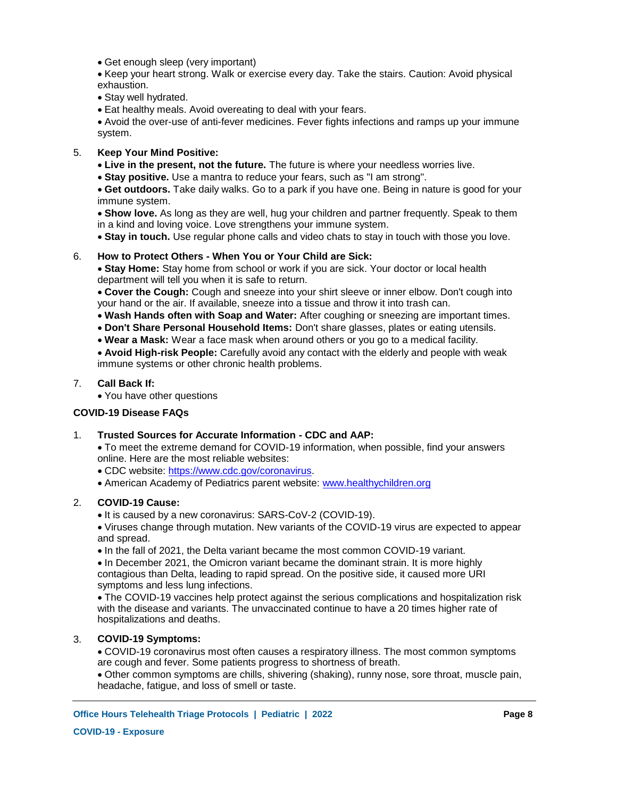Get enough sleep (very important)

Keep your heart strong. Walk or exercise every day. Take the stairs. Caution: Avoid physical exhaustion.

• Stay well hydrated.

Eat healthy meals. Avoid overeating to deal with your fears.

Avoid the over-use of anti-fever medicines. Fever fights infections and ramps up your immune system.

### **Keep Your Mind Positive:** 5.

- **Live in the present, not the future.** The future is where your needless worries live.
- **Stay positive.** Use a mantra to reduce your fears, such as "I am strong".

**Get outdoors.** Take daily walks. Go to a park if you have one. Being in nature is good for your immune system.

**Show love.** As long as they are well, hug your children and partner frequently. Speak to them in a kind and loving voice. Love strengthens your immune system.

**Stay in touch.** Use regular phone calls and video chats to stay in touch with those you love.

### **How to Protect Others - When You or Your Child are Sick:** 6.

**Stay Home:** Stay home from school or work if you are sick. Your doctor or local health department will tell you when it is safe to return.

**Cover the Cough:** Cough and sneeze into your shirt sleeve or inner elbow. Don't cough into your hand or the air. If available, sneeze into a tissue and throw it into trash can.

- **Wash Hands often with Soap and Water:** After coughing or sneezing are important times.
- **Don't Share Personal Household Items:** Don't share glasses, plates or eating utensils.
- **Wear a Mask:** Wear a face mask when around others or you go to a medical facility.

**Avoid High-risk People:** Carefully avoid any contact with the elderly and people with weak immune systems or other chronic health problems.

#### **Call Back If:** 7.

You have other questions

### **COVID-19 Disease FAQs**

### **Trusted Sources for Accurate Information - CDC and AAP:** 1.

- To meet the extreme demand for COVID-19 information, when possible, find your answers online. Here are the most reliable websites:
- CDC website: https://www.cdc.gov/coronavirus.
- American Academy of Pediatrics parent website: www.healthychildren.org

### **COVID-19 Cause:** 2.

- It is caused by a new coronavirus: SARS-CoV-2 (COVID-19).
- Viruses change through mutation. New variants of the COVID-19 virus are expected to appear and spread.
- In the fall of 2021, the Delta variant became the most common COVID-19 variant.

• In December 2021, the Omicron variant became the dominant strain. It is more highly contagious than Delta, leading to rapid spread. On the positive side, it caused more URI symptoms and less lung infections.

The COVID-19 vaccines help protect against the serious complications and hospitalization risk with the disease and variants. The unvaccinated continue to have a 20 times higher rate of hospitalizations and deaths.

#### **COVID-19 Symptoms:** 3.

COVID-19 coronavirus most often causes a respiratory illness. The most common symptoms are cough and fever. Some patients progress to shortness of breath.

Other common symptoms are chills, shivering (shaking), runny nose, sore throat, muscle pain, headache, fatigue, and loss of smell or taste.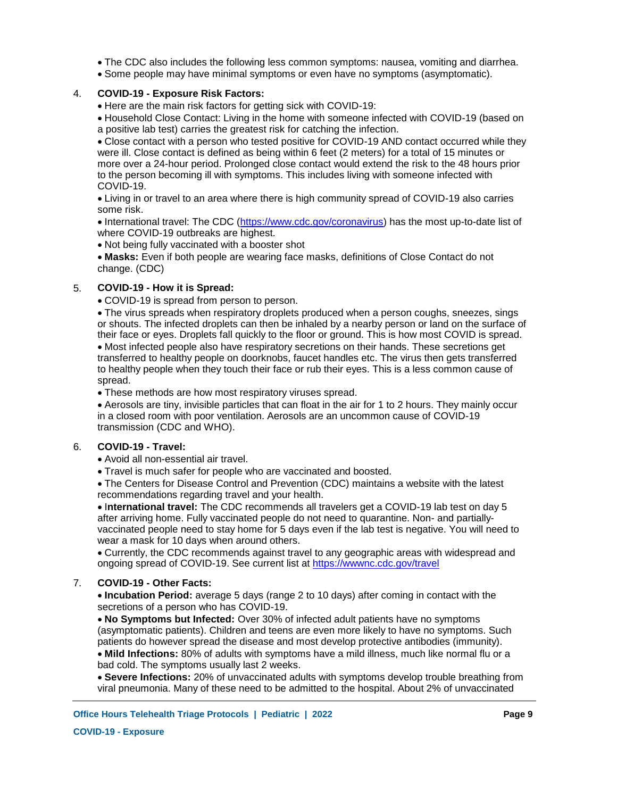- The CDC also includes the following less common symptoms: nausea, vomiting and diarrhea.
- Some people may have minimal symptoms or even have no symptoms (asymptomatic).

### **COVID-19 - Exposure Risk Factors:** 4.

- Here are the main risk factors for getting sick with COVID-19:
- Household Close Contact: Living in the home with someone infected with COVID-19 (based on a positive lab test) carries the greatest risk for catching the infection.

Close contact with a person who tested positive for COVID-19 AND contact occurred while they were ill. Close contact is defined as being within 6 feet (2 meters) for a total of 15 minutes or more over a 24-hour period. Prolonged close contact would extend the risk to the 48 hours prior to the person becoming ill with symptoms. This includes living with someone infected with COVID-19.

Living in or travel to an area where there is high community spread of COVID-19 also carries some risk.

• International travel: The CDC (https://www.cdc.gov/coronavirus) has the most up-to-date list of where COVID-19 outbreaks are highest.

• Not being fully vaccinated with a booster shot

**Masks:** Even if both people are wearing face masks, definitions of Close Contact do not change. (CDC)

### **COVID-19 - How it is Spread:** 5.

COVID-19 is spread from person to person.

The virus spreads when respiratory droplets produced when a person coughs, sneezes, sings or shouts. The infected droplets can then be inhaled by a nearby person or land on the surface of their face or eyes. Droplets fall quickly to the floor or ground. This is how most COVID is spread. Most infected people also have respiratory secretions on their hands. These secretions get transferred to healthy people on doorknobs, faucet handles etc. The virus then gets transferred to healthy people when they touch their face or rub their eyes. This is a less common cause of spread.

These methods are how most respiratory viruses spread.

Aerosols are tiny, invisible particles that can float in the air for 1 to 2 hours. They mainly occur in a closed room with poor ventilation. Aerosols are an uncommon cause of COVID-19 transmission (CDC and WHO).

### **COVID-19 - Travel:** 6.

Avoid all non-essential air travel.

Travel is much safer for people who are vaccinated and boosted.

The Centers for Disease Control and Prevention (CDC) maintains a website with the latest recommendations regarding travel and your health.

 $\bullet$  International travel: The CDC recommends all travelers get a COVID-19 lab test on day 5 after arriving home. Fully vaccinated people do not need to quarantine. Non- and partiallyvaccinated people need to stay home for 5 days even if the lab test is negative. You will need to wear a mask for 10 days when around others.

Currently, the CDC recommends against travel to any geographic areas with widespread and ongoing spread of COVID-19. See current list at https://wwwnc.cdc.gov/travel

#### **COVID-19 - Other Facts:** 7.

**Incubation Period:** average 5 days (range 2 to 10 days) after coming in contact with the secretions of a person who has COVID-19.

**No Symptoms but Infected:** Over 30% of infected adult patients have no symptoms (asymptomatic patients). Children and teens are even more likely to have no symptoms. Such patients do however spread the disease and most develop protective antibodies (immunity).

**Mild Infections:** 80% of adults with symptoms have a mild illness, much like normal flu or a bad cold. The symptoms usually last 2 weeks.

**Severe Infections:** 20% of unvaccinated adults with symptoms develop trouble breathing from viral pneumonia. Many of these need to be admitted to the hospital. About 2% of unvaccinated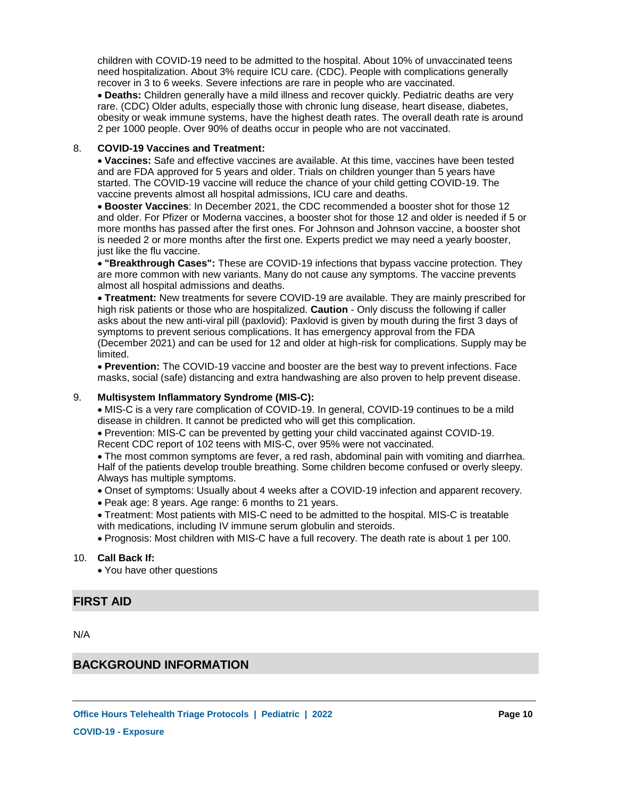children with COVID-19 need to be admitted to the hospital. About 10% of unvaccinated teens need hospitalization. About 3% require ICU care. (CDC). People with complications generally recover in 3 to 6 weeks. Severe infections are rare in people who are vaccinated.

**Deaths:** Children generally have a mild illness and recover quickly. Pediatric deaths are very rare. (CDC) Older adults, especially those with chronic lung disease, heart disease, diabetes, obesity or weak immune systems, have the highest death rates. The overall death rate is around 2 per 1000 people. Over 90% of deaths occur in people who are not vaccinated.

#### **COVID-19 Vaccines and Treatment:** 8.

**Vaccines:** Safe and effective vaccines are available. At this time, vaccines have been tested and are FDA approved for 5 years and older. Trials on children younger than 5 years have started. The COVID-19 vaccine will reduce the chance of your child getting COVID-19. The vaccine prevents almost all hospital admissions, ICU care and deaths.

**Booster Vaccines**: In December 2021, the CDC recommended a booster shot for those 12 and older. For Pfizer or Moderna vaccines, a booster shot for those 12 and older is needed if 5 or more months has passed after the first ones. For Johnson and Johnson vaccine, a booster shot is needed 2 or more months after the first one. Experts predict we may need a yearly booster, just like the flu vaccine.

**"Breakthrough Cases":** These are COVID-19 infections that bypass vaccine protection. They are more common with new variants. Many do not cause any symptoms. The vaccine prevents almost all hospital admissions and deaths.

**Treatment:** New treatments for severe COVID-19 are available. They are mainly prescribed for high risk patients or those who are hospitalized. **Caution** - Only discuss the following if caller asks about the new anti-viral pill (paxlovid): Paxlovid is given by mouth during the first 3 days of symptoms to prevent serious complications. It has emergency approval from the FDA (December 2021) and can be used for 12 and older at high-risk for complications. Supply may be limited.

**Prevention:** The COVID-19 vaccine and booster are the best way to prevent infections. Face masks, social (safe) distancing and extra handwashing are also proven to help prevent disease.

### **Multisystem Inflammatory Syndrome (MIS-C):** 9.

MIS-C is a very rare complication of COVID-19. In general, COVID-19 continues to be a mild disease in children. It cannot be predicted who will get this complication.

Prevention: MIS-C can be prevented by getting your child vaccinated against COVID-19. Recent CDC report of 102 teens with MIS-C, over 95% were not vaccinated.

The most common symptoms are fever, a red rash, abdominal pain with vomiting and diarrhea. Half of the patients develop trouble breathing. Some children become confused or overly sleepy. Always has multiple symptoms.

- Onset of symptoms: Usually about 4 weeks after a COVID-19 infection and apparent recovery.
- Peak age: 8 years. Age range: 6 months to 21 years.
- Treatment: Most patients with MIS-C need to be admitted to the hospital. MIS-C is treatable with medications, including IV immune serum globulin and steroids.
- Prognosis: Most children with MIS-C have a full recovery. The death rate is about 1 per 100.

### **Call Back If:** 10.

You have other questions

# **FIRST AID**

N/A

# **BACKGROUND INFORMATION**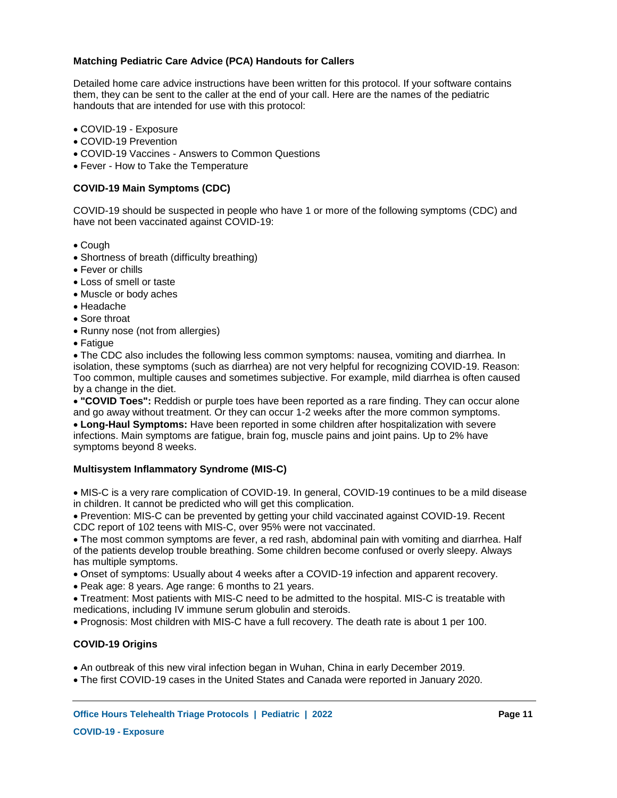### **Matching Pediatric Care Advice (PCA) Handouts for Callers**

Detailed home care advice instructions have been written for this protocol. If your software contains them, they can be sent to the caller at the end of your call. Here are the names of the pediatric handouts that are intended for use with this protocol:

- COVID-19 Exposure
- COVID-19 Prevention
- COVID-19 Vaccines Answers to Common Questions
- Fever How to Take the Temperature

### **COVID-19 Main Symptoms (CDC)**

COVID-19 should be suspected in people who have 1 or more of the following symptoms (CDC) and have not been vaccinated against COVID-19:

- Cough
- Shortness of breath (difficulty breathing)
- Fever or chills
- Loss of smell or taste
- Muscle or body aches
- Headache
- Sore throat
- Runny nose (not from allergies)
- Fatique

The CDC also includes the following less common symptoms: nausea, vomiting and diarrhea. In isolation, these symptoms (such as diarrhea) are not very helpful for recognizing COVID-19. Reason: Too common, multiple causes and sometimes subjective. For example, mild diarrhea is often caused by a change in the diet.

**"COVID Toes":** Reddish or purple toes have been reported as a rare finding. They can occur alone and go away without treatment. Or they can occur 1-2 weeks after the more common symptoms.

**Long-Haul Symptoms:** Have been reported in some children after hospitalization with severe infections. Main symptoms are fatigue, brain fog, muscle pains and joint pains. Up to 2% have symptoms beyond 8 weeks.

### **Multisystem Inflammatory Syndrome (MIS-C)**

MIS-C is a very rare complication of COVID-19. In general, COVID-19 continues to be a mild disease in children. It cannot be predicted who will get this complication.

Prevention: MIS-C can be prevented by getting your child vaccinated against COVID-19. Recent CDC report of 102 teens with MIS-C, over 95% were not vaccinated.

The most common symptoms are fever, a red rash, abdominal pain with vomiting and diarrhea. Half of the patients develop trouble breathing. Some children become confused or overly sleepy. Always has multiple symptoms.

- Onset of symptoms: Usually about 4 weeks after a COVID-19 infection and apparent recovery.
- Peak age: 8 years. Age range: 6 months to 21 years.

Treatment: Most patients with MIS-C need to be admitted to the hospital. MIS-C is treatable with medications, including IV immune serum globulin and steroids.

Prognosis: Most children with MIS-C have a full recovery. The death rate is about 1 per 100.

### **COVID-19 Origins**

An outbreak of this new viral infection began in Wuhan, China in early December 2019.

The first COVID-19 cases in the United States and Canada were reported in January 2020.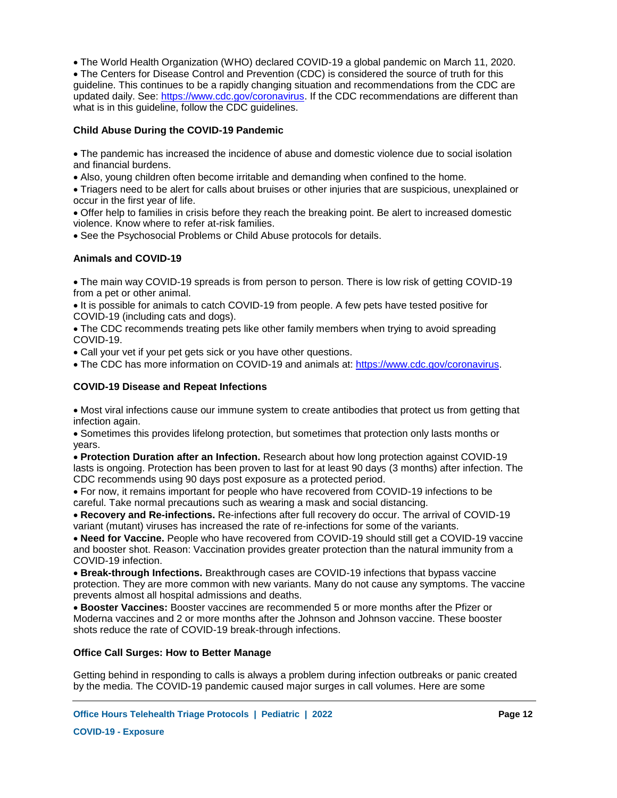The World Health Organization (WHO) declared COVID-19 a global pandemic on March 11, 2020. The Centers for Disease Control and Prevention (CDC) is considered the source of truth for this guideline. This continues to be a rapidly changing situation and recommendations from the CDC are updated daily. See: https://www.cdc.gov/coronavirus. If the CDC recommendations are different than what is in this quideline, follow the CDC quidelines.

### **Child Abuse During the COVID-19 Pandemic**

The pandemic has increased the incidence of abuse and domestic violence due to social isolation and financial burdens.

Also, young children often become irritable and demanding when confined to the home.

Triagers need to be alert for calls about bruises or other injuries that are suspicious, unexplained or occur in the first year of life.

Offer help to families in crisis before they reach the breaking point. Be alert to increased domestic violence. Know where to refer at-risk families.

See the Psychosocial Problems or Child Abuse protocols for details.

### **Animals and COVID-19**

The main way COVID-19 spreads is from person to person. There is low risk of getting COVID-19 from a pet or other animal.

It is possible for animals to catch COVID-19 from people. A few pets have tested positive for COVID-19 (including cats and dogs).

The CDC recommends treating pets like other family members when trying to avoid spreading COVID-19.

Call your vet if your pet gets sick or you have other questions.

The CDC has more information on COVID-19 and animals at: https://www.cdc.gov/coronavirus.

### **COVID-19 Disease and Repeat Infections**

Most viral infections cause our immune system to create antibodies that protect us from getting that infection again.

Sometimes this provides lifelong protection, but sometimes that protection only lasts months or years.

**Protection Duration after an Infection.** Research about how long protection against COVID-19 lasts is ongoing. Protection has been proven to last for at least 90 days (3 months) after infection. The CDC recommends using 90 days post exposure as a protected period.

For now, it remains important for people who have recovered from COVID-19 infections to be careful. Take normal precautions such as wearing a mask and social distancing.

**Recovery and Re-infections.** Re-infections after full recovery do occur. The arrival of COVID-19 variant (mutant) viruses has increased the rate of re-infections for some of the variants.

**Need for Vaccine.** People who have recovered from COVID-19 should still get a COVID-19 vaccine and booster shot. Reason: Vaccination provides greater protection than the natural immunity from a COVID-19 infection.

**Break-through Infections.** Breakthrough cases are COVID-19 infections that bypass vaccine protection. They are more common with new variants. Many do not cause any symptoms. The vaccine prevents almost all hospital admissions and deaths.

**Booster Vaccines:** Booster vaccines are recommended 5 or more months after the Pfizer or Moderna vaccines and 2 or more months after the Johnson and Johnson vaccine. These booster shots reduce the rate of COVID-19 break-through infections.

### **Office Call Surges: How to Better Manage**

Getting behind in responding to calls is always a problem during infection outbreaks or panic created by the media. The COVID-19 pandemic caused major surges in call volumes. Here are some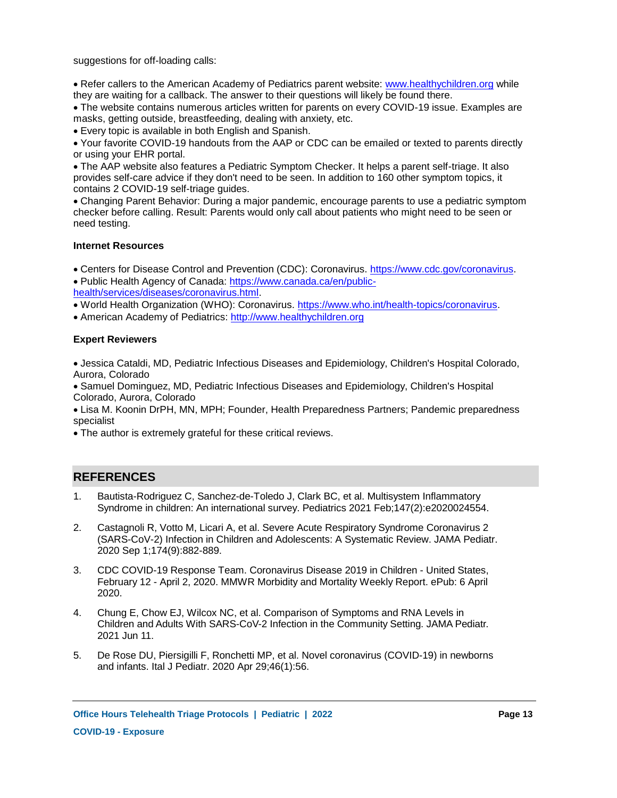suggestions for off-loading calls:

• Refer callers to the American Academy of Pediatrics parent website: www.healthychildren.org while they are waiting for a callback. The answer to their questions will likely be found there.

The website contains numerous articles written for parents on every COVID-19 issue. Examples are masks, getting outside, breastfeeding, dealing with anxiety, etc.

Every topic is available in both English and Spanish.

Your favorite COVID-19 handouts from the AAP or CDC can be emailed or texted to parents directly or using your EHR portal.

The AAP website also features a Pediatric Symptom Checker. It helps a parent self-triage. It also provides self-care advice if they don't need to be seen. In addition to 160 other symptom topics, it contains 2 COVID-19 self-triage guides.

Changing Parent Behavior: During a major pandemic, encourage parents to use a pediatric symptom checker before calling. Result: Parents would only call about patients who might need to be seen or need testing.

### **Internet Resources**

Centers for Disease Control and Prevention (CDC): Coronavirus. https://www.cdc.gov/coronavirus. Public Health Agency of Canada: https://www.canada.ca/en/public-

health/services/diseases/coronavirus.html.

World Health Organization (WHO): Coronavirus. https://www.who.int/health-topics/coronavirus.

American Academy of Pediatrics: http://www.healthychildren.org

### **Expert Reviewers**

Jessica Cataldi, MD, Pediatric Infectious Diseases and Epidemiology, Children's Hospital Colorado, Aurora, Colorado

Samuel Dominguez, MD, Pediatric Infectious Diseases and Epidemiology, Children's Hospital Colorado, Aurora, Colorado

Lisa M. Koonin DrPH, MN, MPH; Founder, Health Preparedness Partners; Pandemic preparedness specialist

The author is extremely grateful for these critical reviews.

# **REFERENCES**

- Bautista-Rodriguez C, Sanchez-de-Toledo J, Clark BC, et al. Multisystem Inflammatory Syndrome in children: An international survey. Pediatrics 2021 Feb;147(2):e2020024554. 1.
- Castagnoli R, Votto M, Licari A, et al. Severe Acute Respiratory Syndrome Coronavirus 2 (SARS-CoV-2) Infection in Children and Adolescents: A Systematic Review. JAMA Pediatr. 2020 Sep 1;174(9):882-889. 2.
- CDC COVID-19 Response Team. Coronavirus Disease 2019 in Children United States, February 12 - April 2, 2020. MMWR Morbidity and Mortality Weekly Report. ePub: 6 April 2020. 3.
- Chung E, Chow EJ, Wilcox NC, et al. Comparison of Symptoms and RNA Levels in Children and Adults With SARS-CoV-2 Infection in the Community Setting. JAMA Pediatr. 2021 Jun 11. 4.
- De Rose DU, Piersigilli F, Ronchetti MP, et al. Novel coronavirus (COVID-19) in newborns and infants. Ital J Pediatr. 2020 Apr 29;46(1):56. 5.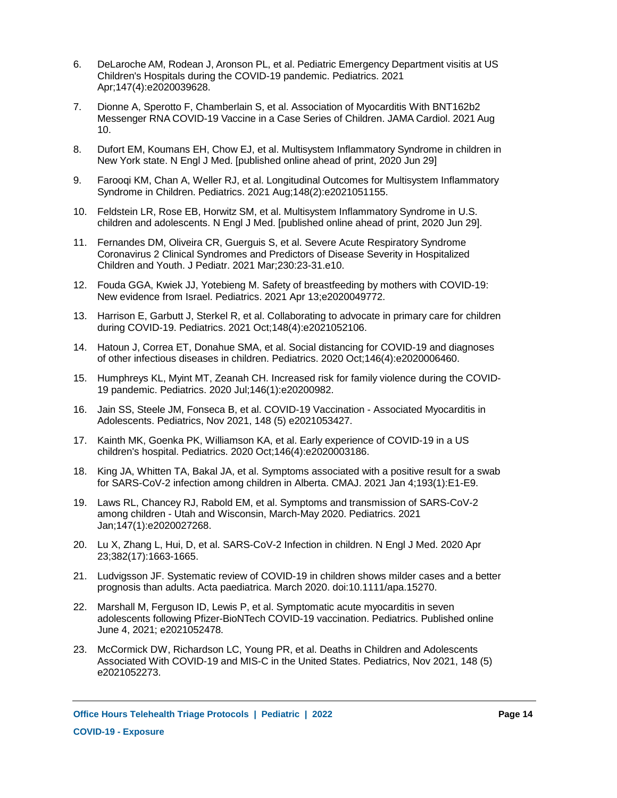- DeLaroche AM, Rodean J, Aronson PL, et al. Pediatric Emergency Department visitis at US Children's Hospitals during the COVID-19 pandemic. Pediatrics. 2021 Apr;147(4):e2020039628. 6.
- Dionne A, Sperotto F, Chamberlain S, et al. Association of Myocarditis With BNT162b2 Messenger RNA COVID-19 Vaccine in a Case Series of Children. JAMA Cardiol. 2021 Aug 10. 7.
- Dufort EM, Koumans EH, Chow EJ, et al. Multisystem Inflammatory Syndrome in children in New York state. N Engl J Med. [published online ahead of print, 2020 Jun 29] 8.
- Farooqi KM, Chan A, Weller RJ, et al. Longitudinal Outcomes for Multisystem Inflammatory Syndrome in Children. Pediatrics. 2021 Aug;148(2):e2021051155. 9.
- Feldstein LR, Rose EB, Horwitz SM, et al. Multisystem Inflammatory Syndrome in U.S. 10. children and adolescents. N Engl J Med. [published online ahead of print, 2020 Jun 29].
- Fernandes DM, Oliveira CR, Guerguis S, et al. Severe Acute Respiratory Syndrome 11. Coronavirus 2 Clinical Syndromes and Predictors of Disease Severity in Hospitalized Children and Youth. J Pediatr. 2021 Mar;230:23-31.e10.
- Fouda GGA, Kwiek JJ, Yotebieng M. Safety of breastfeeding by mothers with COVID-19: 12. New evidence from Israel. Pediatrics. 2021 Apr 13;e2020049772.
- 13. Harrison E, Garbutt J, Sterkel R, et al. Collaborating to advocate in primary care for children during COVID-19. Pediatrics. 2021 Oct;148(4):e2021052106.
- 14. Hatoun J, Correa ET, Donahue SMA, et al. Social distancing for COVID-19 and diagnoses of other infectious diseases in children. Pediatrics. 2020 Oct;146(4):e2020006460.
- 15. Humphreys KL, Myint MT, Zeanah CH. Increased risk for family violence during the COVID-19 pandemic. Pediatrics. 2020 Jul;146(1):e20200982.
- 16. Jain SS, Steele JM, Fonseca B, et al. COVID-19 Vaccination Associated Myocarditis in Adolescents. Pediatrics, Nov 2021, 148 (5) e2021053427.
- 17. Kainth MK, Goenka PK, Williamson KA, et al. Early experience of COVID-19 in a US children's hospital. Pediatrics. 2020 Oct;146(4):e2020003186.
- 18. King JA, Whitten TA, Bakal JA, et al. Symptoms associated with a positive result for a swab for SARS-CoV-2 infection among children in Alberta. CMAJ. 2021 Jan 4;193(1):E1-E9.
- Laws RL, Chancey RJ, Rabold EM, et al. Symptoms and transmission of SARS-CoV-2 19. among children - Utah and Wisconsin, March-May 2020. Pediatrics. 2021 Jan;147(1):e2020027268.
- 20. Lu X, Zhang L, Hui, D, et al. SARS-CoV-2 Infection in children. N Engl J Med. 2020 Apr 23;382(17):1663-1665.
- 21. Ludvigsson JF. Systematic review of COVID-19 in children shows milder cases and a better prognosis than adults. Acta paediatrica. March 2020. doi:10.1111/apa.15270.
- 22. Marshall M, Ferguson ID, Lewis P, et al. Symptomatic acute myocarditis in seven adolescents following Pfizer-BioNTech COVID-19 vaccination. Pediatrics. Published online June 4, 2021; e2021052478.
- 23. McCormick DW, Richardson LC, Young PR, et al. Deaths in Children and Adolescents Associated With COVID-19 and MIS-C in the United States. Pediatrics, Nov 2021, 148 (5) e2021052273.